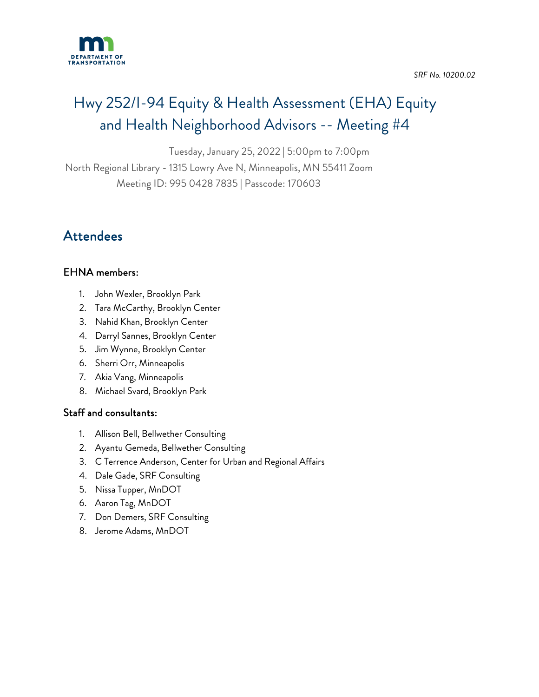

*SRF No. 10200.02* 

# Hwy 252/I-94 Equity & Health Assessment (EHA) Equity and Health Neighborhood Advisors -- Meeting #4

Tuesday, January 25, 2022 | 5:00pm to 7:00pm

North Regional Library - 1315 Lowry Ave N, Minneapolis, MN 55411 Zoom

Meeting ID: 995 0428 7835 | Passcode: 170603

### Attendees

### EHNA members:

- 1. John Wexler, Brooklyn Park
- 2. Tara McCarthy, Brooklyn Center
- 3. Nahid Khan, Brooklyn Center
- 4. Darryl Sannes, Brooklyn Center
- 5. Jim Wynne, Brooklyn Center
- 6. Sherri Orr, Minneapolis
- 7. Akia Vang, Minneapolis
- 8. Michael Svard, Brooklyn Park

### Staff and consultants:

- 1. [Allison Bell,](mailto:allison@bellwethermn.com) Bellwether Consulting
- 2. Ayantu Gemeda, Bellwether Consulting
- 3. C Terrence Anderson, Center for Urban and Regional Affairs
- 4. Dale Gade, SRF Consulting
- 5. Nissa Tupper, MnDOT
- 6. Aaron Tag, MnDOT
- 7. Don Demers, SRF Consulting
- 8. Jerome Adams, MnDOT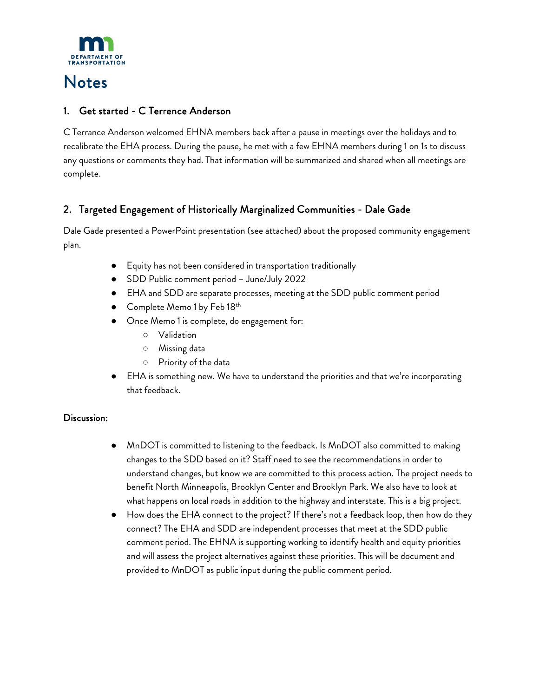

## Notes

### 1. Get started - C Terrence Anderson

C Terrance Anderson welcomed EHNA members back after a pause in meetings over the holidays and to recalibrate the EHA process. During the pause, he met with a few EHNA members during 1 on 1s to discuss any questions or comments they had. That information will be summarized and shared when all meetings are complete.

### 2. Targeted Engagement of Historically Marginalized Communities - Dale Gade

Dale Gade presented a PowerPoint presentation (see attached) about the proposed community engagement plan.

- Equity has not been considered in transportation traditionally
- SDD Public comment period June/July 2022
- EHA and SDD are separate processes, meeting at the SDD public comment period
- Complete Memo 1 by Feb  $18<sup>th</sup>$
- Once Memo 1 is complete, do engagement for:
	- Validation
	- Missing data
	- Priority of the data
- EHA is something new. We have to understand the priorities and that we're incorporating that feedback.

#### Discussion:

- MnDOT is committed to listening to the feedback. Is MnDOT also committed to making changes to the SDD based on it? Staff need to see the recommendations in order to understand changes, but know we are committed to this process action. The project needs to benefit North Minneapolis, Brooklyn Center and Brooklyn Park. We also have to look at what happens on local roads in addition to the highway and interstate. This is a big project.
- How does the EHA connect to the project? If there's not a feedback loop, then how do they connect? The EHA and SDD are independent processes that meet at the SDD public comment period. The EHNA is supporting working to identify health and equity priorities and will assess the project alternatives against these priorities. This will be document and provided to MnDOT as public input during the public comment period.